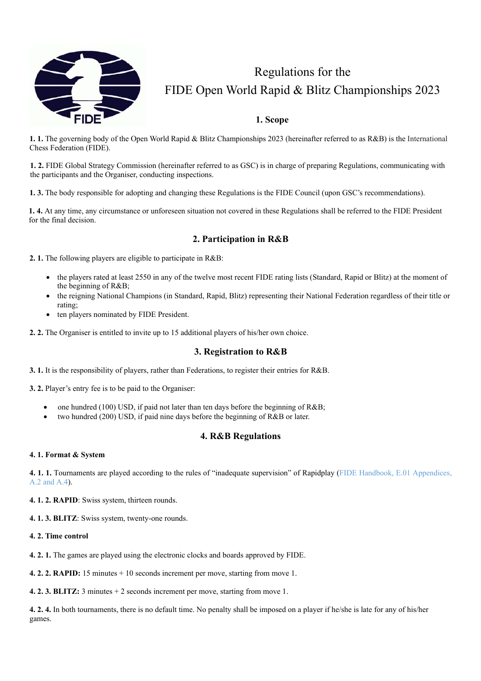

# Regulations for the FIDE Open World Rapid & Blitz Championships 2023

# **1. Scope**

**1. 1.** The governing body of the Open World Rapid & Blitz Championships 2023 (hereinafter referred to as R&B) is the International Chess Federation (FIDE).

**1. 2.** FIDE Global Strategy Commission (hereinafter referred to as GSC) is in charge of preparing Regulations, communicating with the participants and the Organiser, conducting inspections.

**1. 3.** The body responsible for adopting and changing these Regulations is the FIDE Council (upon GSC's recommendations).

**1. 4.** At any time, any circumstance or unforeseen situation not covered in these Regulations shall be referred to the FIDE President for the final decision.

# **2. Participation in R&B**

**2. 1.** The following players are eligible to participate in R&B:

- the players rated at least 2550 in any of the twelve most recent FIDE rating lists (Standard, Rapid or Blitz) at the moment of the beginning of R&B;
- the reigning National Champions (in Standard, Rapid, Blitz) representing their National Federation regardless of their title or rating;
- ten players nominated by FIDE President.
- **2. 2.** The Organiser is entitled to invite up to 15 additional players of his/her own choice.

# **3. Registration to R&B**

**3. 1.** It is the responsibility of players, rather than Federations, to register their entries for R&B.

- **3. 2.** Player's entry fee is to be paid to the Organiser:
	- one hundred (100) USD, if paid not later than ten days before the beginning of R&B;
	- two hundred (200) USD, if paid nine days before the beginning of R&B or later.

# **4. R&B Regulations**

#### **4. 1. Format & System**

**4. 1. 1.** Tournaments are played according to the rules of "inadequate supervision" of Rapidplay (FIDE Handbook, E.01 Appendices, A.2 and A.4).

**4. 1. 2. RAPID**: Swiss system, thirteen rounds.

**4. 1. 3. BLITZ**: Swiss system, twenty-one rounds.

#### **4. 2. Time control**

**4. 2. 1.** The games are played using the electronic clocks and boards approved by FIDE.

**4. 2. 2. RAPID:** 15 minutes + 10 seconds increment per move, starting from move 1.

**4. 2. 3. BLITZ:** 3 minutes + 2 seconds increment per move, starting from move 1.

**4. 2. 4.** In both tournaments, there is no default time. No penalty shall be imposed on a player if he/she is late for any of his/her games.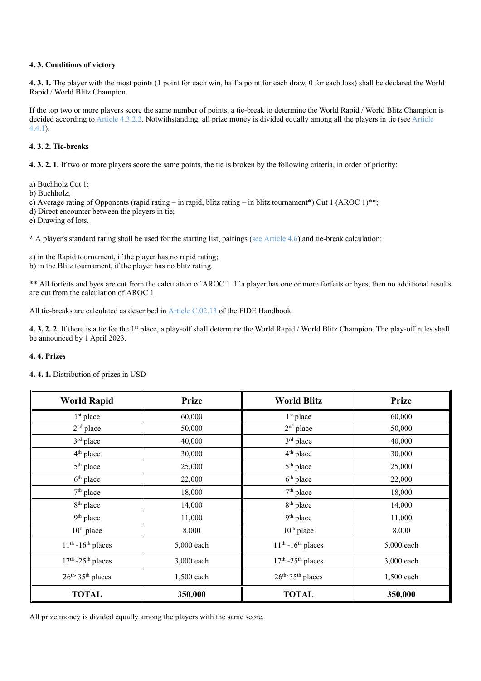#### **4. 3. Conditions of victory**

**4. 3. 1.** The player with the most points (1 point for each win, half a point for each draw, 0 for each loss) shall be declared the World Rapid / World Blitz Champion.

If the top two or more players score the same number of points, a tie-break to determine the World Rapid / World Blitz Champion is decided according to Article 4.3.2.2. Notwithstanding, all prize money is divided equally among all the players in tie (see Article 4.4.1).

### **4. 3. 2. Tie-breaks**

**4. 3. 2. 1.** If two or more players score the same points, the tie is broken by the following criteria, in order of priority:

a) Buchholz Cut 1;

b) Buchholz;

c) Average rating of Opponents (rapid rating – in rapid, blitz rating – in blitz tournament\*) Cut 1 (AROC 1)\*\*;

d) Direct encounter between the players in tie;

e) Drawing of lots.

**\*** A player's standard rating shall be used for the starting list, pairings (see Article 4.6) and tie-break calculation:

a) in the Rapid tournament, if the player has no rapid rating;

b) in the Blitz tournament, if the player has no blitz rating.

\*\* All forfeits and byes are cut from the calculation of AROC 1. If a player has one or more forfeits or byes, then no additional results are cut from the calculation of AROC 1.

All tie-breaks are calculated as described in Article C.02.13 of the FIDE Handbook.

**4. 3. 2. 2.** If there is a tie for the 1st place, a play-off shall determine the World Rapid / World Blitz Champion. The play-off rules shall be announced by 1 April 2023.

#### **4. 4. Prizes**

| 4.4.1. Distribution of prizes in USD |  |  |  |
|--------------------------------------|--|--|--|
|--------------------------------------|--|--|--|

| <b>World Rapid</b>                | <b>Prize</b> | <b>World Blitz</b>               | <b>Prize</b> |  |
|-----------------------------------|--------------|----------------------------------|--------------|--|
| $1st$ place                       | 60,000       | 1 <sup>st</sup> place            | 60,000       |  |
| $2nd$ place                       | 50,000       | $2nd$ place                      | 50,000       |  |
| 3rd place                         | 40,000       | 3rd place                        | 40,000       |  |
| 4 <sup>th</sup> place             | 30,000       | 4 <sup>th</sup> place            | 30,000       |  |
| 5 <sup>th</sup> place             | 25,000       | 5 <sup>th</sup> place            | 25,000       |  |
| $6th$ place                       | 22,000       | $6th$ place                      | 22,000       |  |
| $7th$ place                       | 18,000       | $7th$ place                      | 18,000       |  |
| 8 <sup>th</sup> place             | 14,000       | 8 <sup>th</sup> place            | 14,000       |  |
| 9 <sup>th</sup> place             | 11,000       | 9 <sup>th</sup> place            | 11,000       |  |
| $10th$ place                      | 8,000        | $10th$ place                     | 8,000        |  |
| $11th - 16th$ places              | 5,000 each   | $11th - 16th$ places             | 5,000 each   |  |
| $17th - 25th$ places              | 3,000 each   | $17th - 25th$ places             | 3,000 each   |  |
| $26^{th}$ 35 <sup>th</sup> places | 1,500 each   | $26^{\rm th.}35^{\rm th}$ places | 1,500 each   |  |
| <b>TOTAL</b>                      | 350,000      | <b>TOTAL</b>                     | 350,000      |  |

All prize money is divided equally among the players with the same score.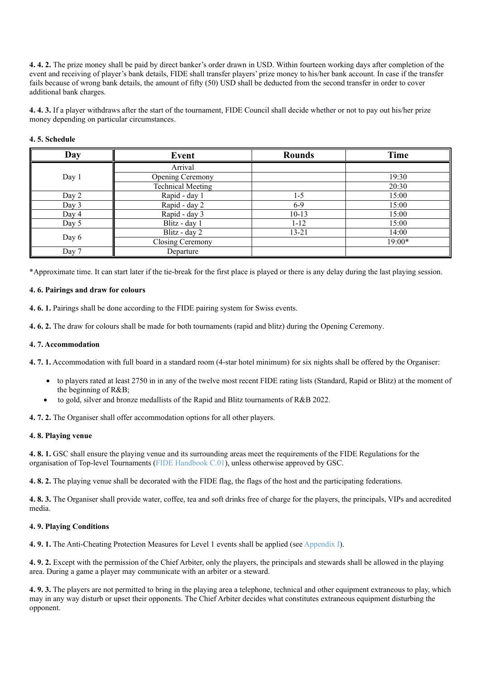**4. 4. 2.** The prize money shall be paid by direct banker's order drawn in USD. Within fourteen working days after completion of the event and receiving of player's bank details, FIDE shall transfer players' prize money to his/her bank account. In case if the transfer fails because of wrong bank details, the amount of fifty (50) USD shall be deducted from the second transfer in order to cover additional bank charges.

**4. 4. 3.** If a player withdraws after the start of the tournament, FIDE Council shall decide whether or not to pay out his/her prize money depending on particular circumstances.

#### **4. 5. Schedule**

| Day   | Event                    | <b>Rounds</b> | Time   |
|-------|--------------------------|---------------|--------|
| Day 1 | Arrival                  |               |        |
|       | Opening Ceremony         |               | 19:30  |
|       | <b>Technical Meeting</b> |               | 20:30  |
| Day 2 | Rapid - day 1            | $1 - 5$       | 15:00  |
| Day 3 | Rapid - day 2            | $6-9$         | 15:00  |
| Day 4 | Rapid - day 3            | $10-13$       | 15:00  |
| Day 5 | Blitz - day 1            | $1 - 12$      | 15:00  |
| Day 6 | Blitz - day 2            | 13-21         | 14:00  |
|       | Closing Ceremony         |               | 19:00* |
| Day 7 | Departure                |               |        |

\*Approximate time. It can start later if the tie-break for the first place is played or there is any delay during the last playing session.

#### **4. 6. Pairings and draw for colours**

**4. 6. 1.** Pairings shall be done according to the FIDE pairing system for Swiss events.

**4. 6. 2.** The draw for colours shall be made for both tournaments (rapid and blitz) during the Opening Ceremony.

#### **4. 7. Accommodation**

**4. 7. 1.** Accommodation with full board in a standard room (4-star hotel minimum) for six nights shall be offered by the Organiser:

- to players rated at least 2750 in in any of the twelve most recent FIDE rating lists (Standard, Rapid or Blitz) at the moment of the beginning of R&B;
- to gold, silver and bronze medallists of the Rapid and Blitz tournaments of R&B 2022.

**4. 7. 2.** The Organiser shall offer accommodation options for all other players.

#### **4. 8. Playing venue**

**4. 8. 1.** GSC shall ensure the playing venue and its surrounding areas meet the requirements of the FIDE Regulations for the organisation of Top-level Tournaments (FIDE Handbook C.01), unless otherwise approved by GSC.

**4. 8. 2.** The playing venue shall be decorated with the FIDE flag, the flags of the host and the participating federations.

**4. 8. 3.** The Organiser shall provide water, coffee, tea and soft drinks free of charge for the players, the principals, VIPs and accredited media.

#### **4. 9. Playing Conditions**

**4. 9. 1.** The Anti-Cheating Protection Measures for Level 1 events shall be applied (see Appendix I).

**4. 9. 2.** Except with the permission of the Chief Arbiter, only the players, the principals and stewards shall be allowed in the playing area. During a game a player may communicate with an arbiter or a steward.

**4. 9. 3.** The players are not permitted to bring in the playing area a telephone, technical and other equipment extraneous to play, which may in any way disturb or upset their opponents. The Chief Arbiter decides what constitutes extraneous equipment disturbing the opponent.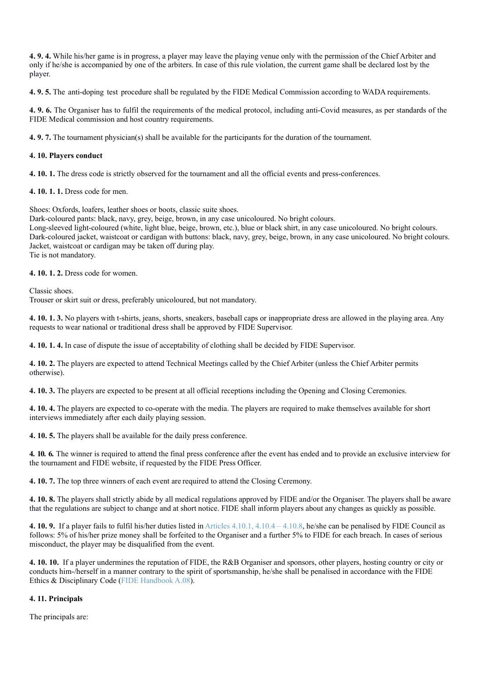**4. 9. 4.** While his/her game is in progress, a player may leave the playing venue only with the permission of the Chief Arbiter and only if he/she is accompanied by one of the arbiters. In case of this rule violation, the current game shall be declared lost by the player.

**4. 9. 5.** The anti-doping test procedure shall be regulated by the FIDE Medical Commission according to WADA requirements.

**4. 9. 6.** The Organiser has to fulfil the requirements of the medical protocol, including anti-Covid measures, as per standards of the FIDE Medical commission and host country requirements.

**4. 9. 7.** The tournament physician(s) shall be available for the participants for the duration of the tournament.

# **4. 10. Players conduct**

**4. 10. 1.** The dress code is strictly observed for the tournament and all the official events and press-conferences.

**4. 10. 1. 1.** Dress code for men.

Shoes: Oxfords, loafers, leather shoes or boots, classic suite shoes.

Dark-coloured pants: black, navy, grey, beige, brown, in any case unicoloured. No bright colours.

Long-sleeved light-coloured (white, light blue, beige, brown, etc.), blue or black shirt, in any case unicoloured. No bright colours. Dark-coloured jacket, waistcoat or cardigan with buttons: black, navy, grey, beige, brown, in any case unicoloured. No bright colours. Jacket, waistcoat or cardigan may be taken off during play. Tie is not mandatory.

**4. 10. 1. 2.** Dress code for women.

Classic shoes.

Trouser or skirt suit or dress, preferably unicoloured, but not mandatory.

**4. 10. 1. 3.** No players with t-shirts, jeans, shorts, sneakers, baseball caps or inappropriate dress are allowed in the playing area. Any requests to wear national or traditional dress shall be approved by FIDE Supervisor.

**4. 10. 1. 4.** In case of dispute the issue of acceptability of clothing shall be decided by FIDE Supervisor.

**4. 10. 2.** The players are expected to attend Technical Meetings called by the Chief Arbiter (unless the Chief Arbiter permits otherwise).

**4. 10. 3.** The players are expected to be present at all official receptions including the Opening and Closing Ceremonies.

**4. 10. 4.** The players are expected to co-operate with the media. The players are required to make themselves available for short interviews immediately after each daily playing session.

**4. 10. 5.** The players shall be available for the daily press conference.

**4. 10. 6.** The winner is required to attend the final press conference after the event has ended and to provide an exclusive interview for the tournament and FIDE website, if requested by the FIDE Press Officer.

**4. 10. 7.** The top three winners of each event are required to attend the Closing Ceremony.

**4. 10. 8.** The players shall strictly abide by all medical regulations approved by FIDE and/or the Organiser. The players shall be aware that the regulations are subject to change and at short notice. FIDE shall inform players about any changes as quickly as possible.

**4. 10. 9.** If a player fails to fulfil his/her duties listed in Articles 4.10.1, 4.10.4 – 4.10.8, he/she can be penalised by FIDE Council as follows: 5% of his/her prize money shall be forfeited to the Organiser and a further 5% to FIDE for each breach. In cases of serious misconduct, the player may be disqualified from the event.

**4. 10. 10.** If a player undermines the reputation of FIDE, the R&B Organiser and sponsors, other players, hosting country or city or conducts him-/herself in a manner contrary to the spirit of sportsmanship, he/she shall be penalised in accordance with the FIDE Ethics & Disciplinary Code (FIDE Handbook A.08).

# **4. 11. Principals**

The principals are: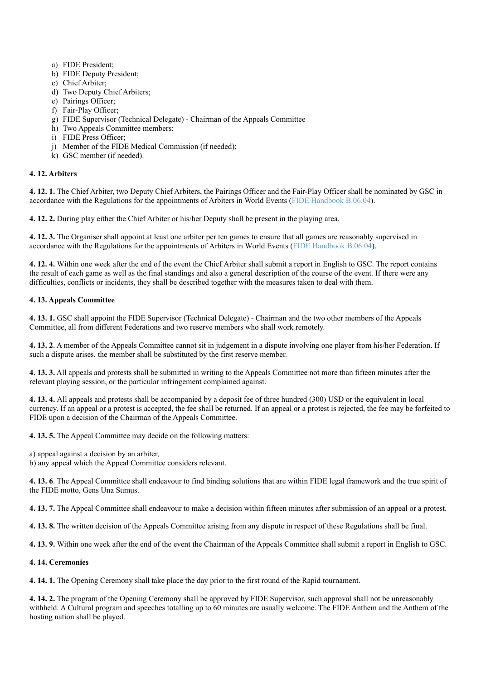- a) FIDE President;
- b) FIDE Deputy President;
- c) Chief Arbiter;
- d) Two Deputy Chief Arbiters;
- e) Pairings Officer;
- f) Fair-Play Officer;
- g) FIDE Supervisor (Technical Delegate) Chairman of the Appeals Committee
- h) Two Appeals Committee members;
- i) FIDE Press Officer;
- j) Member of the FIDE Medical Commission (if needed);
- k) GSC member (if needed).

## **4. 12. Arbiters**

**4. 12. 1.** The Chief Arbiter, two Deputy Chief Arbiters, the Pairings Officer and the Fair-Play Officer shall be nominated by GSC in accordance with the Regulations for the appointments of Arbiters in World Events (FIDE Handbook B.06.04).

**4. 12. 2.** During play either the Chief Arbiter or his/her Deputy shall be present in the playing area.

**4. 12. 3.** The Organiser shall appoint at least one arbiter per ten games to ensure that all games are reasonably supervised in accordance with the Regulations for the appointments of Arbiters in World Events (FIDE Handbook B.06.04).

**4. 12. 4.** Within one week after the end of the event the Chief Arbiter shall submit a report in English to GSC. The report contains the result of each game as well as the final standings and also a general description of the course of the event. If there were any difficulties, conflicts or incidents, they shall be described together with the measures taken to deal with them.

# **4. 13. Appeals Committee**

**4. 13. 1.** GSC shall appoint the FIDE Supervisor (Technical Delegate) - Chairman and the two other members of the Appeals Committee, all from different Federations and two reserve members who shall work remotely.

**4. 13. 2**. A member of the Appeals Committee cannot sit in judgement in a dispute involving one player from his/her Federation. If such a dispute arises, the member shall be substituted by the first reserve member.

**4. 13. 3.** All appeals and protests shall be submitted in writing to the Appeals Committee not more than fifteen minutes after the relevant playing session, or the particular infringement complained against.

**4. 13. 4.** All appeals and protests shall be accompanied by a deposit fee of three hundred (300) USD or the equivalent in local currency. If an appeal or a protest is accepted, the fee shall be returned. If an appeal or a protest is rejected, the fee may be forfeited to FIDE upon a decision of the Chairman of the Appeals Committee.

**4. 13. 5.** The Appeal Committee may decide on the following matters:

a) appeal against a decision by an arbiter,

b) any appeal which the Appeal Committee considers relevant.

**4. 13. 6**. The Appeal Committee shall endeavour to find binding solutions that are within FIDE legal framework and the true spirit of the FIDE motto, Gens Una Sumus.

**4. 13. 7.** The Appeal Committee shall endeavour to make a decision within fifteen minutes after submission of an appeal or a protest.

**4. 13. 8.** The written decision of the Appeals Committee arising from any dispute in respect of these Regulations shall be final.

**4. 13. 9.** Within one week after the end of the event the Chairman of the Appeals Committee shall submit a report in English to GSC.

#### **4. 14. Ceremonies**

**4. 14. 1.** The Opening Ceremony shall take place the day prior to the first round of the Rapid tournament.

**4. 14. 2.** The program of the Opening Ceremony shall be approved by FIDE Supervisor, such approval shall not be unreasonably withheld. A Cultural program and speeches totalling up to 60 minutes are usually welcome. The FIDE Anthem and the Anthem of the hosting nation shall be played.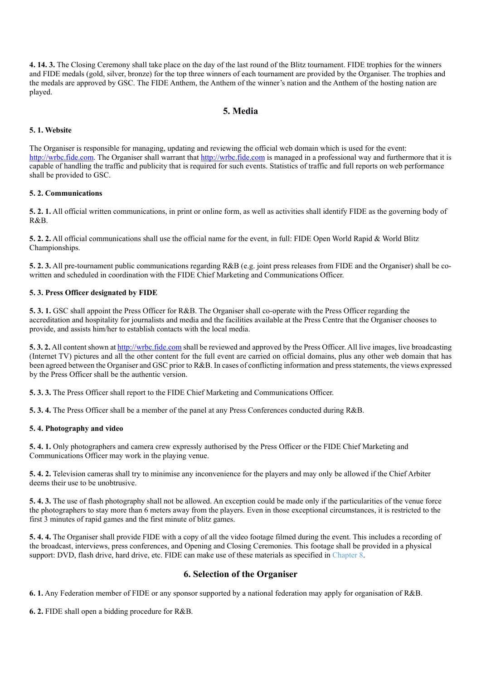**4. 14. 3.** The Closing Ceremony shall take place on the day of the last round of the Blitz tournament. FIDE trophies for the winners and FIDE medals (gold, silver, bronze) for the top three winners of each tournament are provided by the Organiser. The trophies and the medals are approved by GSC. The FIDE Anthem, the Anthem of the winner's nation and the Anthem of the hosting nation are played.

# **5. Media**

### **5. 1. Website**

The Organiser is responsible for managing, updating and reviewing the official web domain which is used for the event: http://wrbc.fide.com. The Organiser shall warrant that http://wrbc.fide.com is managed in a professional way and furthermore that it is capable of handling the traffic and publicity that is required for such events. Statistics of traffic and full reports on web performance shall be provided to GSC.

#### **5. 2. Communications**

**5. 2. 1.** All official written communications, in print or online form, as well as activities shall identify FIDE as the governing body of R&B.

**5. 2. 2.** All official communications shall use the official name for the event, in full: FIDE Open World Rapid & World Blitz Championships.

**5. 2. 3.** All pre-tournament public communications regarding R&B (e.g. joint press releases from FIDE and the Organiser) shall be cowritten and scheduled in coordination with the FIDE Chief Marketing and Communications Officer.

#### **5. 3. Press Officer designated by FIDE**

**5. 3. 1.** GSC shall appoint the Press Officer for R&B. The Organiser shall co-operate with the Press Officer regarding the accreditation and hospitality for journalists and media and the facilities available at the Press Centre that the Organiser chooses to provide, and assists him/her to establish contacts with the local media.

**5. 3. 2.** All content shown at http://wrbc.fide.com shall be reviewed and approved by the Press Officer. All live images, live broadcasting (Internet TV) pictures and all the other content for the full event are carried on official domains, plus any other web domain that has been agreed between the Organiser and GSC prior to R&B. In cases of conflicting information and press statements, the views expressed by the Press Officer shall be the authentic version.

**5. 3. 3.** The Press Officer shall report to the FIDE Chief Marketing and Communications Officer.

**5. 3. 4.** The Press Officer shall be a member of the panel at any Press Conferences conducted during R&B.

#### **5. 4. Photography and video**

**5. 4. 1.** Only photographers and camera crew expressly authorised by the Press Officer or the FIDE Chief Marketing and Communications Officer may work in the playing venue.

**5. 4. 2.** Television cameras shall try to minimise any inconvenience for the players and may only be allowed if the Chief Arbiter deems their use to be unobtrusive.

**5. 4. 3.** The use of flash photography shall not be allowed. An exception could be made only if the particularities of the venue force the photographers to stay more than 6 meters away from the players. Even in those exceptional circumstances, it is restricted to the first 3 minutes of rapid games and the first minute of blitz games.

**5. 4. 4.** The Organiser shall provide FIDE with a copy of all the video footage filmed during the event. This includes a recording of the broadcast, interviews, press conferences, and Opening and Closing Ceremonies. This footage shall be provided in a physical support: DVD, flash drive, hard drive, etc. FIDE can make use of these materials as specified in Chapter 8.

# **6. Selection of the Organiser**

**6. 1.** Any Federation member of FIDE or any sponsor supported by a national federation may apply for organisation of R&B.

**6. 2.** FIDE shall open a bidding procedure for R&B.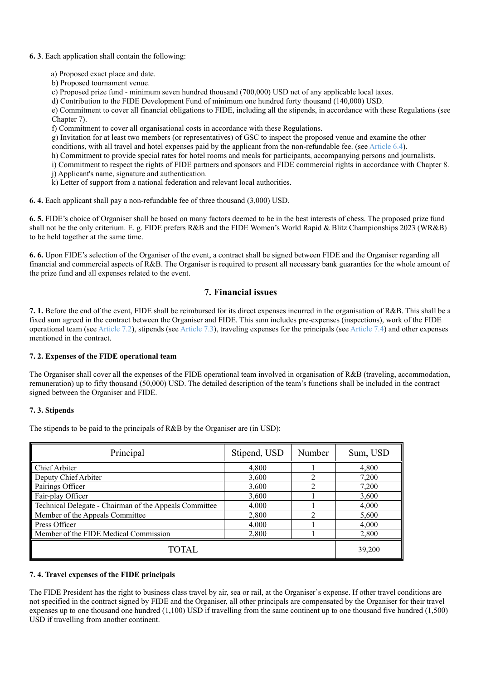#### **6. 3**. Each application shall contain the following:

- a) Proposed exact place and date.
- b) Proposed tournament venue.
- c) Proposed prize fund minimum seven hundred thousand (700,000) USD net of any applicable local taxes.

d) Contribution to the FIDE Development Fund of minimum one hundred forty thousand (140,000) USD.

e) Commitment to cover all financial obligations to FIDE, including all the stipends, in accordance with these Regulations (see Chapter 7).

f) Commitment to cover all organisational costs in accordance with these Regulations.

g) Invitation for at least two members (or representatives) of GSC to inspect the proposed venue and examine the other conditions, with all travel and hotel expenses paid by the applicant from the non-refundable fee. (see Article 6.4).

- h) Commitment to provide special rates for hotel rooms and meals for participants, accompanying persons and journalists.
- i) Commitment to respect the rights of FIDE partners and sponsors and FIDE commercial rights in accordance with Chapter 8.
- j) Applicant's name, signature and authentication.
- k) Letter of support from a national federation and relevant local authorities.

**6. 4.** Each applicant shall pay a non-refundable fee of three thousand (3,000) USD.

**6. 5.** FIDE's choice of Organiser shall be based on many factors deemed to be in the best interests of chess. The proposed prize fund shall not be the only criterium. E. g. FIDE prefers R&B and the FIDE Women's World Rapid & Blitz Championships 2023 (WR&B) to be held together at the same time.

**6. 6.** Upon FIDE's selection of the Organiser of the event, a contract shall be signed between FIDE and the Organiser regarding all financial and commercial aspects of R&B. The Organiser is required to present all necessary bank guaranties for the whole amount of the prize fund and all expenses related to the event.

# **7. Financial issues**

**7. 1.** Before the end of the event, FIDE shall be reimbursed for its direct expenses incurred in the organisation of R&B. This shall be a fixed sum agreed in the contract between the Organiser and FIDE. This sum includes pre-expenses (inspections), work of the FIDE operational team (see Article 7.2), stipends (see Article 7.3), traveling expenses for the principals (see Article 7.4) and other expenses mentioned in the contract.

#### **7. 2. Expenses of the FIDE operational team**

The Organiser shall cover all the expenses of the FIDE operational team involved in organisation of R&B (traveling, accommodation, remuneration) up to fifty thousand (50,000) USD. The detailed description of the team's functions shall be included in the contract signed between the Organiser and FIDE.

#### **7. 3. Stipends**

The stipends to be paid to the principals of R&B by the Organiser are (in USD):

| Principal                                              | Stipend, USD | Number | Sum, USD |
|--------------------------------------------------------|--------------|--------|----------|
| Chief Arbiter                                          | 4,800        |        | 4,800    |
| Deputy Chief Arbiter                                   | 3,600        |        | 7,200    |
| Pairings Officer                                       | 3,600        | ◠      | 7,200    |
| Fair-play Officer                                      | 3,600        |        | 3,600    |
| Technical Delegate - Chairman of the Appeals Committee | 4,000        |        | 4,000    |
| Member of the Appeals Committee                        | 2,800        |        | 5,600    |
| Press Officer                                          | 4,000        |        | 4,000    |
| Member of the FIDE Medical Commission                  | 2,800        |        | 2,800    |
| <b>TOTAL</b>                                           | 39,200       |        |          |

#### **7. 4. Travel expenses of the FIDE principals**

The FIDE President has the right to business class travel by air, sea or rail, at the Organiser`s expense. If other travel conditions are not specified in the contract signed by FIDE and the Organiser, all other principals are compensated by the Organiser for their travel expenses up to one thousand one hundred (1,100) USD if travelling from the same continent up to one thousand five hundred (1,500) USD if travelling from another continent.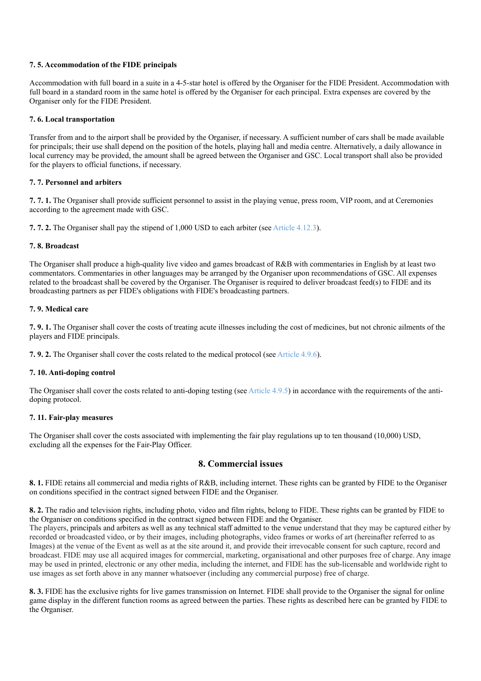#### **7. 5. Accommodation of the FIDE principals**

Accommodation with full board in a suite in a 4-5-star hotel is offered by the Organiser for the FIDE President. Accommodation with full board in a standard room in the same hotel is offered by the Organiser for each principal. Extra expenses are covered by the Organiser only for the FIDE President.

#### **7. 6. Local transportation**

Transfer from and to the airport shall be provided by the Organiser, if necessary. A sufficient number of cars shall be made available for principals; their use shall depend on the position of the hotels, playing hall and media centre. Alternatively, a daily allowance in local currency may be provided, the amount shall be agreed between the Organiser and GSC. Local transport shall also be provided for the players to official functions, if necessary.

#### **7. 7. Personnel and arbiters**

**7. 7. 1.** The Organiser shall provide sufficient personnel to assist in the playing venue, press room, VIP room, and at Ceremonies according to the agreement made with GSC.

**7. 7. 2.** The Organiser shall pay the stipend of 1,000 USD to each arbiter (see Article 4.12.3).

#### **7. 8. Broadcast**

The Organiser shall produce a high-quality live video and games broadcast of R&B with commentaries in English by at least two commentators. Commentaries in other languages may be arranged by the Organiser upon recommendations of GSC. All expenses related to the broadcast shall be covered by the Organiser. The Organiser is required to deliver broadcast feed(s) to FIDE and its broadcasting partners as per FIDE's obligations with FIDE's broadcasting partners.

#### **7. 9. Medical care**

**7. 9. 1.** The Organiser shall cover the costs of treating acute illnesses including the cost of medicines, but not chronic ailments of the players and FIDE principals.

**7. 9. 2.** The Organiser shall cover the costs related to the medical protocol (see Article 4.9.6).

#### **7. 10. Anti-doping control**

The Organiser shall cover the costs related to anti-doping testing (see Article 4.9.5) in accordance with the requirements of the antidoping protocol.

#### **7. 11. Fair-play measures**

The Organiser shall cover the costs associated with implementing the fair play regulations up to ten thousand (10,000) USD, excluding all the expenses for the Fair-Play Officer.

# **8. Commercial issues**

**8. 1.** FIDE retains all commercial and media rights of R&B, including internet. These rights can be granted by FIDE to the Organiser on conditions specified in the contract signed between FIDE and the Organiser.

**8. 2.** The radio and television rights, including photo, video and film rights, belong to FIDE. These rights can be granted by FIDE to the Organiser on conditions specified in the contract signed between FIDE and the Organiser.

The players, principals and arbiters as well as any technical staff admitted to the venue understand that they may be captured either by recorded or broadcasted video, or by their images, including photographs, video frames or works of art (hereinafter referred to as Images) at the venue of the Event as well as at the site around it, and provide their irrevocable consent for such capture, record and broadcast. FIDE may use all acquired images for commercial, marketing, organisational and other purposes free of charge. Any image may be used in printed, electronic or any other media, including the internet, and FIDE has the sub-licensable and worldwide right to use images as set forth above in any manner whatsoever (including any commercial purpose) free of charge.

**8. 3.** FIDE has the exclusive rights for live games transmission on Internet. FIDE shall provide to the Organiser the signal for online game display in the different function rooms as agreed between the parties. These rights as described here can be granted by FIDE to the Organiser.